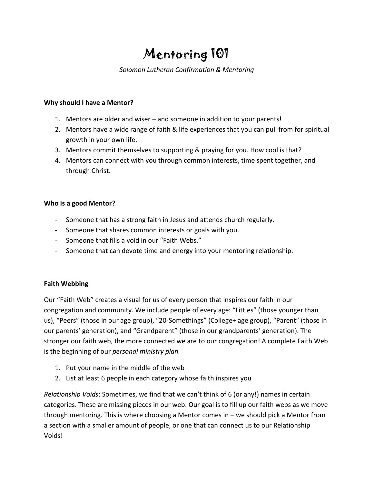# Mentoring 101

## *Solomon Lutheran Confirmation & Mentoring*

### **Why should I have a Mentor?**

- 1. Mentors are older and wiser and someone in addition to your parents!
- 2. Mentors have a wide range of faith & life experiences that you can pull from for spiritual growth in your own life.
- 3. Mentors commit themselves to supporting & praying for you. How cool is that?
- 4. Mentors can connect with you through common interests, time spent together, and through Christ.

## **Who is a good Mentor?**

- Someone that has a strong faith in Jesus and attends church regularly.
- Someone that shares common interests or goals with you.
- Someone that fills a void in our "Faith Webs."
- Someone that can devote time and energy into your mentoring relationship.

### **Faith Webbing**

Our "Faith Web" creates a visual for us of every person that inspires our faith in our congregation and community. We include people of every age: "Littles" (those younger than us), "Peers" (those in our age group), "20-Somethings" (College+ age group), "Parent" (those in our parents' generation), and "Grandparent" (those in our grandparents' generation). The stronger our faith web, the more connected we are to our congregation! A complete Faith Web is the beginning of our *personal ministry plan.*

- 1. Put your name in the middle of the web
- 2. List at least 6 people in each category whose faith inspires you

*Relationship Voids*: Sometimes, we find that we can't think of 6 (or any!) names in certain categories. These are missing pieces in our web. Our goal is to fill up our faith webs as we move through mentoring. This is where choosing a Mentor comes in – we should pick a Mentor from a section with a smaller amount of people, or one that can connect us to our Relationship Voids!